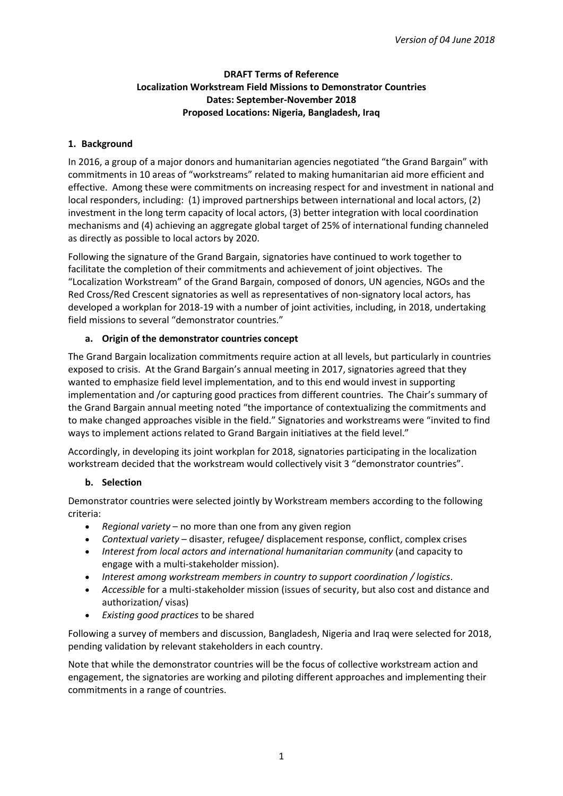# **DRAFT Terms of Reference Localization Workstream Field Missions to Demonstrator Countries Dates: September-November 2018 Proposed Locations: Nigeria, Bangladesh, Iraq**

# **1. Background**

In 2016, a group of a major donors and humanitarian agencies negotiated "the Grand Bargain" with commitments in 10 areas of "workstreams" related to making humanitarian aid more efficient and effective. Among these were commitments on increasing respect for and investment in national and local responders, including: (1) improved partnerships between international and local actors, (2) investment in the long term capacity of local actors, (3) better integration with local coordination mechanisms and (4) achieving an aggregate global target of 25% of international funding channeled as directly as possible to local actors by 2020.

Following the signature of the Grand Bargain, signatories have continued to work together to facilitate the completion of their commitments and achievement of joint objectives. The "Localization Workstream" of the Grand Bargain, composed of donors, UN agencies, NGOs and the Red Cross/Red Crescent signatories as well as representatives of non-signatory local actors, has developed a workplan for 2018-19 with a number of joint activities, including, in 2018, undertaking field missions to several "demonstrator countries."

# **a. Origin of the demonstrator countries concept**

The Grand Bargain localization commitments require action at all levels, but particularly in countries exposed to crisis. At the Grand Bargain's annual meeting in 2017, signatories agreed that they wanted to emphasize field level implementation, and to this end would invest in supporting implementation and /or capturing good practices from different countries. The Chair's summary of the Grand Bargain annual meeting noted "the importance of contextualizing the commitments and to make changed approaches visible in the field." Signatories and workstreams were "invited to find ways to implement actions related to Grand Bargain initiatives at the field level."

Accordingly, in developing its joint workplan for 2018, signatories participating in the localization workstream decided that the workstream would collectively visit 3 "demonstrator countries".

### **b. Selection**

Demonstrator countries were selected jointly by Workstream members according to the following criteria:

- *Regional variety* no more than one from any given region
- *Contextual variety* disaster, refugee/ displacement response, conflict, complex crises
- *Interest from local actors and international humanitarian community* (and capacity to engage with a multi-stakeholder mission).
- *Interest among workstream members in country to support coordination / logistics*.
- *Accessible* for a multi-stakeholder mission (issues of security, but also cost and distance and authorization/ visas)
- *Existing good practices* to be shared

Following a survey of members and discussion, Bangladesh, Nigeria and Iraq were selected for 2018, pending validation by relevant stakeholders in each country.

Note that while the demonstrator countries will be the focus of collective workstream action and engagement, the signatories are working and piloting different approaches and implementing their commitments in a range of countries.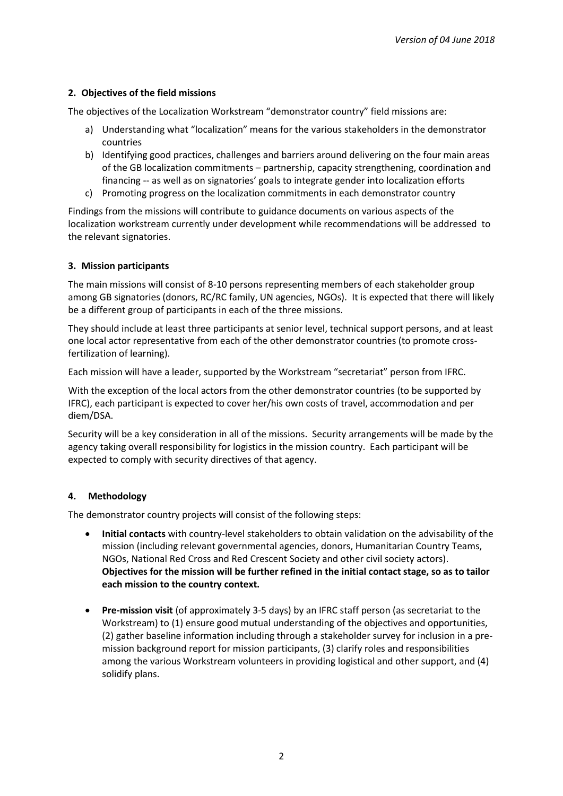## **2. Objectives of the field missions**

The objectives of the Localization Workstream "demonstrator country" field missions are:

- a) Understanding what "localization" means for the various stakeholders in the demonstrator countries
- b) Identifying good practices, challenges and barriers around delivering on the four main areas of the GB localization commitments – partnership, capacity strengthening, coordination and financing -- as well as on signatories' goals to integrate gender into localization efforts
- c) Promoting progress on the localization commitments in each demonstrator country

Findings from the missions will contribute to guidance documents on various aspects of the localization workstream currently under development while recommendations will be addressed to the relevant signatories.

#### **3. Mission participants**

The main missions will consist of 8-10 persons representing members of each stakeholder group among GB signatories (donors, RC/RC family, UN agencies, NGOs). It is expected that there will likely be a different group of participants in each of the three missions.

They should include at least three participants at senior level, technical support persons, and at least one local actor representative from each of the other demonstrator countries (to promote crossfertilization of learning).

Each mission will have a leader, supported by the Workstream "secretariat" person from IFRC.

With the exception of the local actors from the other demonstrator countries (to be supported by IFRC), each participant is expected to cover her/his own costs of travel, accommodation and per diem/DSA.

Security will be a key consideration in all of the missions. Security arrangements will be made by the agency taking overall responsibility for logistics in the mission country. Each participant will be expected to comply with security directives of that agency.

### **4. Methodology**

The demonstrator country projects will consist of the following steps:

- **Initial contacts** with country-level stakeholders to obtain validation on the advisability of the mission (including relevant governmental agencies, donors, Humanitarian Country Teams, NGOs, National Red Cross and Red Crescent Society and other civil society actors). **Objectives for the mission will be further refined in the initial contact stage, so as to tailor each mission to the country context.**
- **Pre-mission visit** (of approximately 3-5 days) by an IFRC staff person (as secretariat to the Workstream) to (1) ensure good mutual understanding of the objectives and opportunities, (2) gather baseline information including through a stakeholder survey for inclusion in a premission background report for mission participants, (3) clarify roles and responsibilities among the various Workstream volunteers in providing logistical and other support, and (4) solidify plans.